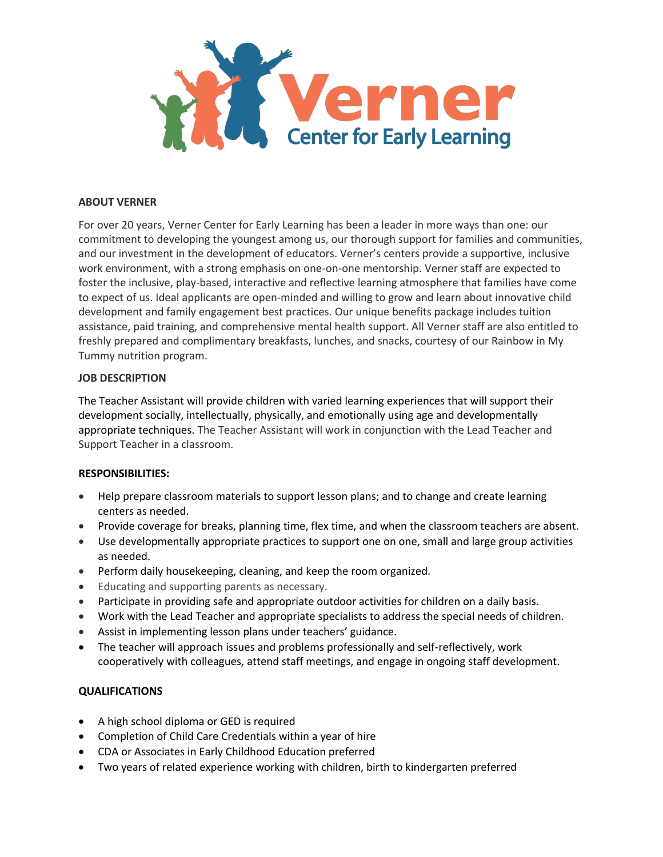

## **ABOUT VERNER**

For over 20 years, Verner Center for Early Learning has been a leader in more ways than one: our commitment to developing the youngest among us, our thorough support for families and communities, and our investment in the development of educators. Verner's centers provide a supportive, inclusive work environment, with a strong emphasis on one-on-one mentorship. Verner staff are expected to foster the inclusive, play-based, interactive and reflective learning atmosphere that families have come to expect of us. Ideal applicants are open-minded and willing to grow and learn about innovative child development and family engagement best practices. Our unique benefits package includes tuition assistance, paid training, and comprehensive mental health support. All Verner staff are also entitled to freshly prepared and complimentary breakfasts, lunches, and snacks, courtesy of our Rainbow in My Tummy nutrition program.

### **JOB DESCRIPTION**

The Teacher Assistant will provide children with varied learning experiences that will support their development socially, intellectually, physically, and emotionally using age and developmentally appropriate techniques. The Teacher Assistant will work in conjunction with the Lead Teacher and Support Teacher in a classroom.

### **RESPONSIBILITIES:**

- Help prepare classroom materials to support lesson plans; and to change and create learning centers as needed.
- Provide coverage for breaks, planning time, flex time, and when the classroom teachers are absent.
- Use developmentally appropriate practices to support one on one, small and large group activities as needed.
- Perform daily housekeeping, cleaning, and keep the room organized.
- Educating and supporting parents as necessary.
- Participate in providing safe and appropriate outdoor activities for children on a daily basis.
- Work with the Lead Teacher and appropriate specialists to address the special needs of children.
- Assist in implementing lesson plans under teachers' guidance.
- The teacher will approach issues and problems professionally and self-reflectively, work cooperatively with colleagues, attend staff meetings, and engage in ongoing staff development.

# **QUALIFICATIONS**

- A high school diploma or GED is required
- Completion of Child Care Credentials within a year of hire
- CDA or Associates in Early Childhood Education preferred
- Two years of related experience working with children, birth to kindergarten preferred